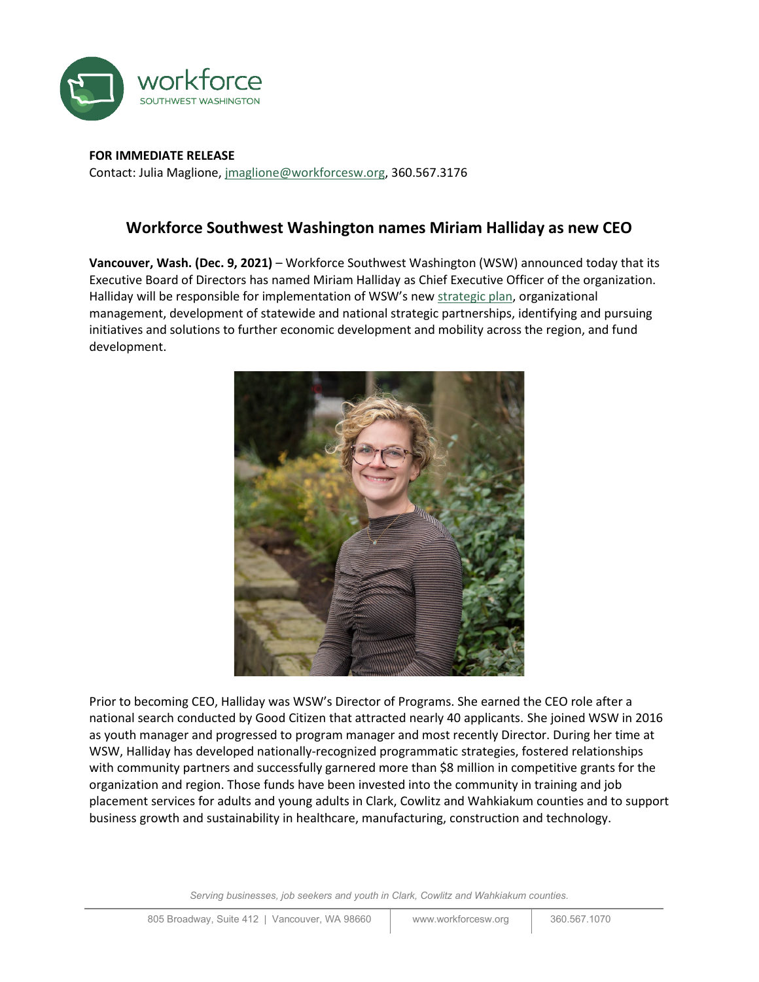

**FOR IMMEDIATE RELEASE** Contact: Julia Maglione[, jmaglione@workforcesw.org,](mailto:jmaglione@workforcesw.org) 360.567.3176

## **Workforce Southwest Washington names Miriam Halliday as new CEO**

**Vancouver, Wash. (Dec. 9, 2021)** – Workforce Southwest Washington (WSW) announced today that its Executive Board of Directors has named Miriam Halliday as Chief Executive Officer of the organization. Halliday will be responsible for implementation of WSW's new [strategic plan,](https://workforcesw.org/our-plan) organizational management, development of statewide and national strategic partnerships, identifying and pursuing initiatives and solutions to further economic development and mobility across the region, and fund development.



Prior to becoming CEO, Halliday was WSW's Director of Programs. She earned the CEO role after a national search conducted by Good Citizen that attracted nearly 40 applicants. She joined WSW in 2016 as youth manager and progressed to program manager and most recently Director. During her time at WSW, Halliday has developed nationally-recognized programmatic strategies, fostered relationships with community partners and successfully garnered more than \$8 million in competitive grants for the organization and region. Those funds have been invested into the community in training and job placement services for adults and young adults in Clark, Cowlitz and Wahkiakum counties and to support business growth and sustainability in healthcare, manufacturing, construction and technology.

*Serving businesses, job seekers and youth in Clark, Cowlitz and Wahkiakum counties.*